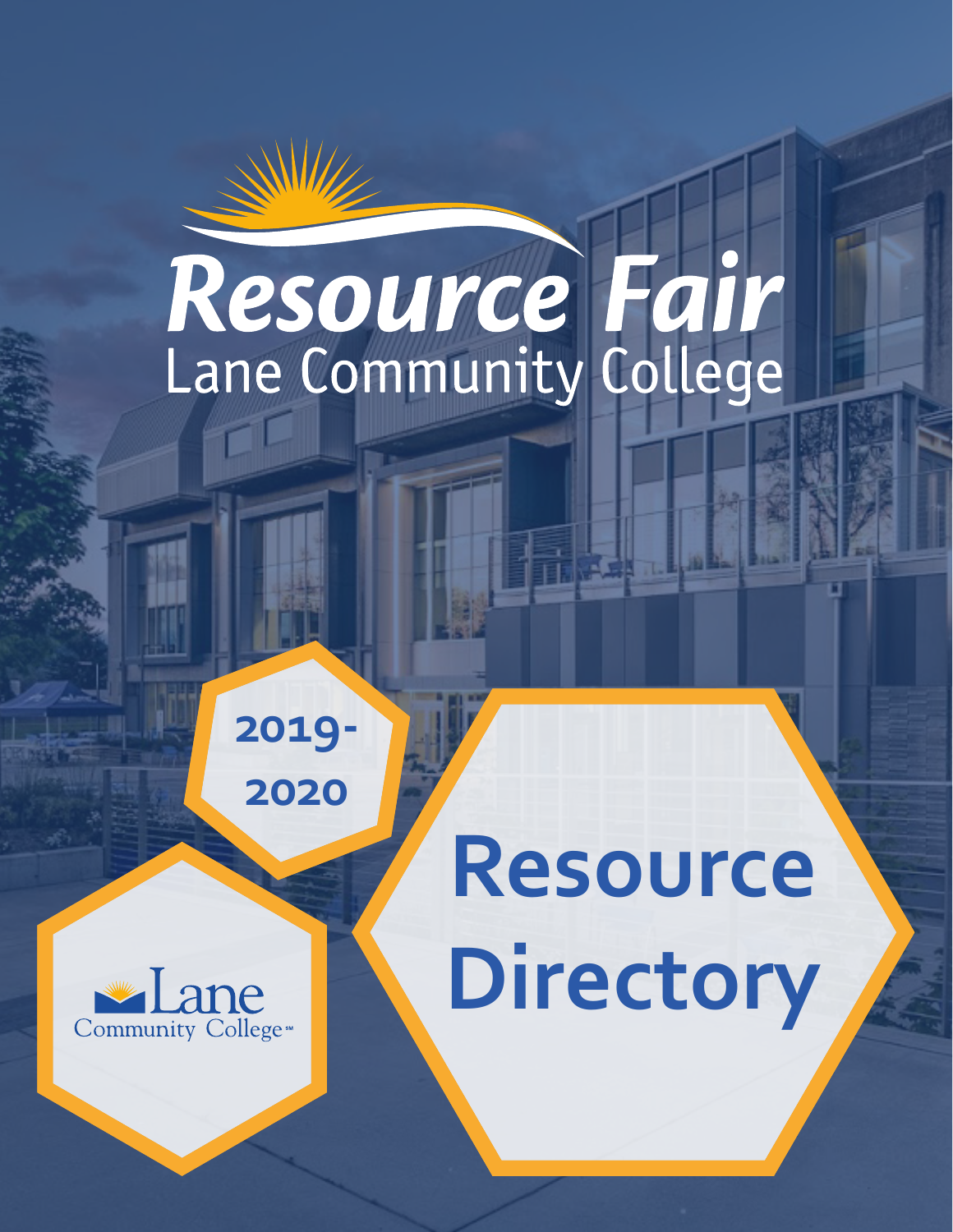# Resource Fair

**2019- 2020**



# **Resource Directory**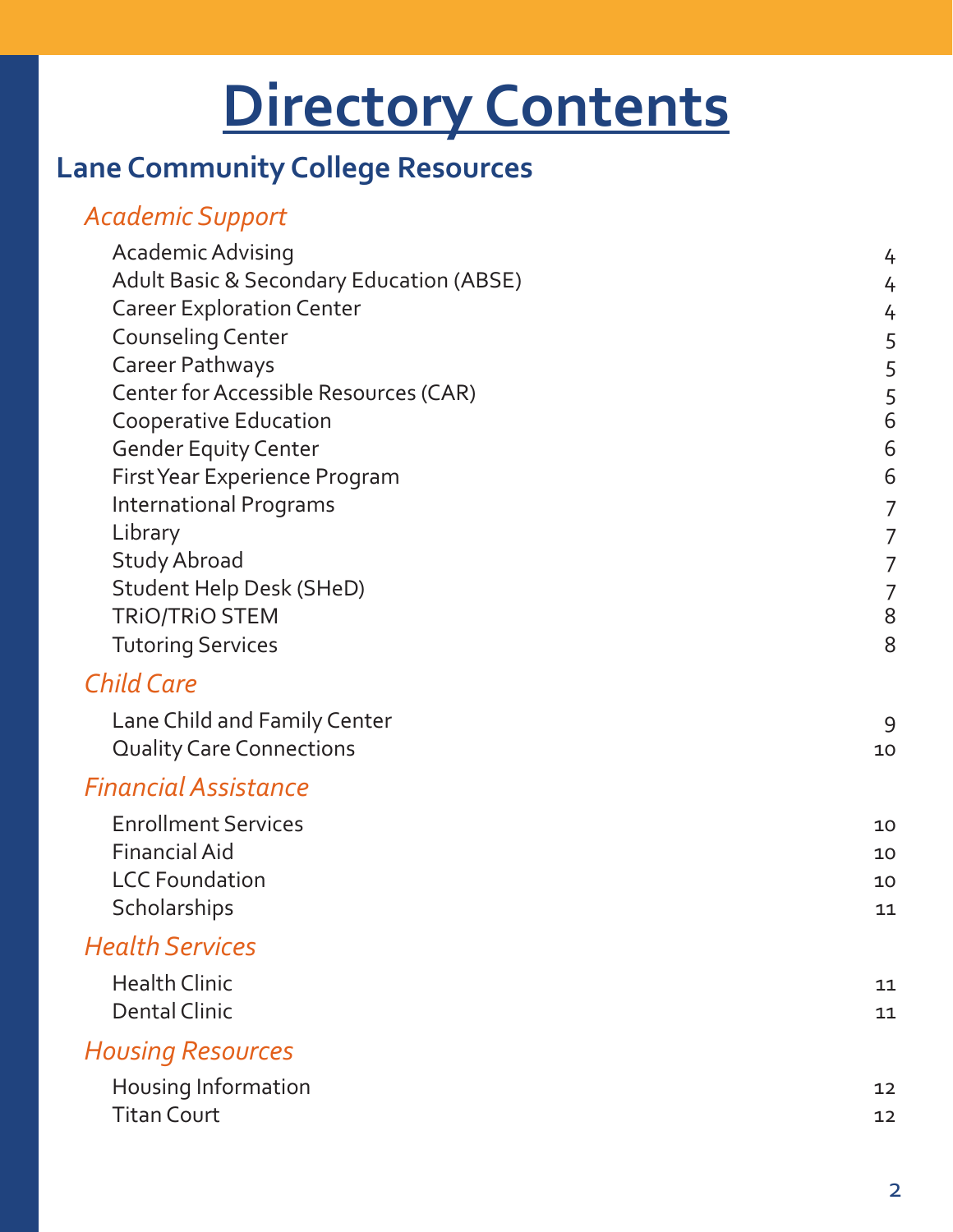# **Directory Contents**

# **[Lane Community College Resources](#page-3-0)**

# *[Academic Support](#page-3-0)*

| Academic Advising                                   | 4  |
|-----------------------------------------------------|----|
| <b>Adult Basic &amp; Secondary Education (ABSE)</b> | 4  |
| <b>Career Exploration Center</b>                    | 4  |
| <b>Counseling Center</b>                            | 5  |
| Career Pathways                                     | 5  |
| Center for Accessible Resources (CAR)               | 5  |
| <b>Cooperative Education</b>                        | 6  |
| <b>Gender Equity Center</b>                         | 6  |
| First Year Experience Program                       | 6  |
| <b>International Programs</b>                       | 7  |
| Library                                             | 7  |
| <b>Study Abroad</b>                                 | 7  |
| <b>Student Help Desk (SHeD)</b>                     | 7  |
| <b>TRIO/TRIO STEM</b>                               | 8  |
| <b>Tutoring Services</b>                            | 8  |
| <b>Child Care</b>                                   |    |
| Lane Child and Family Center                        | 9  |
| <b>Quality Care Connections</b>                     | 10 |
| <b>Financial Assistance</b>                         |    |
| <b>Enrollment Services</b>                          | 10 |
| <b>Financial Aid</b>                                | 10 |
| <b>LCC Foundation</b>                               | 10 |
| Scholarships                                        | 11 |
| <b>Health Services</b>                              |    |
| <b>Health Clinic</b>                                | 11 |
| <b>Dental Clinic</b>                                | 11 |
|                                                     |    |
| <b>Housing Resources</b>                            |    |
| Housing Information                                 | 12 |
| <b>Titan Court</b>                                  | 12 |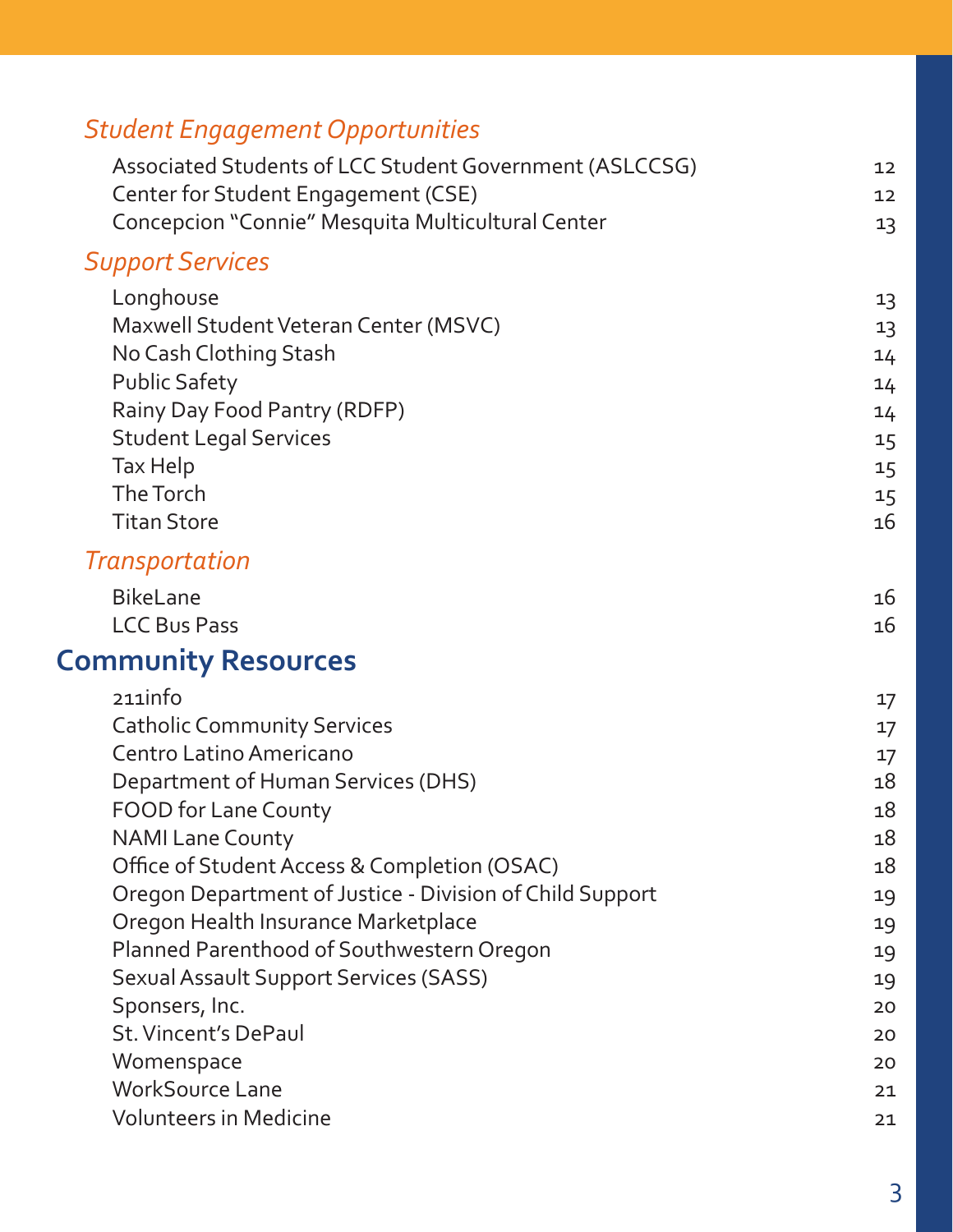| <b>Student Engagement Opportunities</b>                  |    |
|----------------------------------------------------------|----|
| Associated Students of LCC Student Government (ASLCCSG)  | 12 |
| Center for Student Engagement (CSE)                      | 12 |
| Concepcion "Connie" Mesquita Multicultural Center        | 13 |
| <b>Support Services</b>                                  |    |
| Longhouse                                                | 13 |
| Maxwell Student Veteran Center (MSVC)                    | 13 |
| No Cash Clothing Stash                                   | 14 |
| <b>Public Safety</b>                                     | 14 |
| Rainy Day Food Pantry (RDFP)                             | 14 |
| <b>Student Legal Services</b>                            | 15 |
| Tax Help                                                 | 15 |
| The Torch                                                | 15 |
| <b>Titan Store</b>                                       | 16 |
| Transportation                                           |    |
| <b>BikeLane</b>                                          | 16 |
| <b>LCC Bus Pass</b>                                      | 16 |
| <b>Community Resources</b>                               |    |
| 211info                                                  | 17 |
| <b>Catholic Community Services</b>                       | 17 |
| Centro Latino Americano                                  | 17 |
| Department of Human Services (DHS)                       | 18 |
| <b>FOOD for Lane County</b>                              | 18 |
| <b>NAMI Lane County</b>                                  | 18 |
| Office of Student Access & Completion (OSAC)             | 18 |
| Oregon Department of Justice - Division of Child Support | 19 |
| Oregon Health Insurance Marketplace                      | 19 |
| Planned Parenthood of Southwestern Oregon                | 19 |
| <b>Sexual Assault Support Services (SASS)</b>            | 19 |
| Sponsers, Inc.                                           | 20 |
| <b>St. Vincent's DePaul</b>                              | 20 |
| Womenspace                                               | 20 |
| <b>WorkSource Lane</b>                                   | 21 |
| <b>Volunteers in Medicine</b>                            | 21 |

3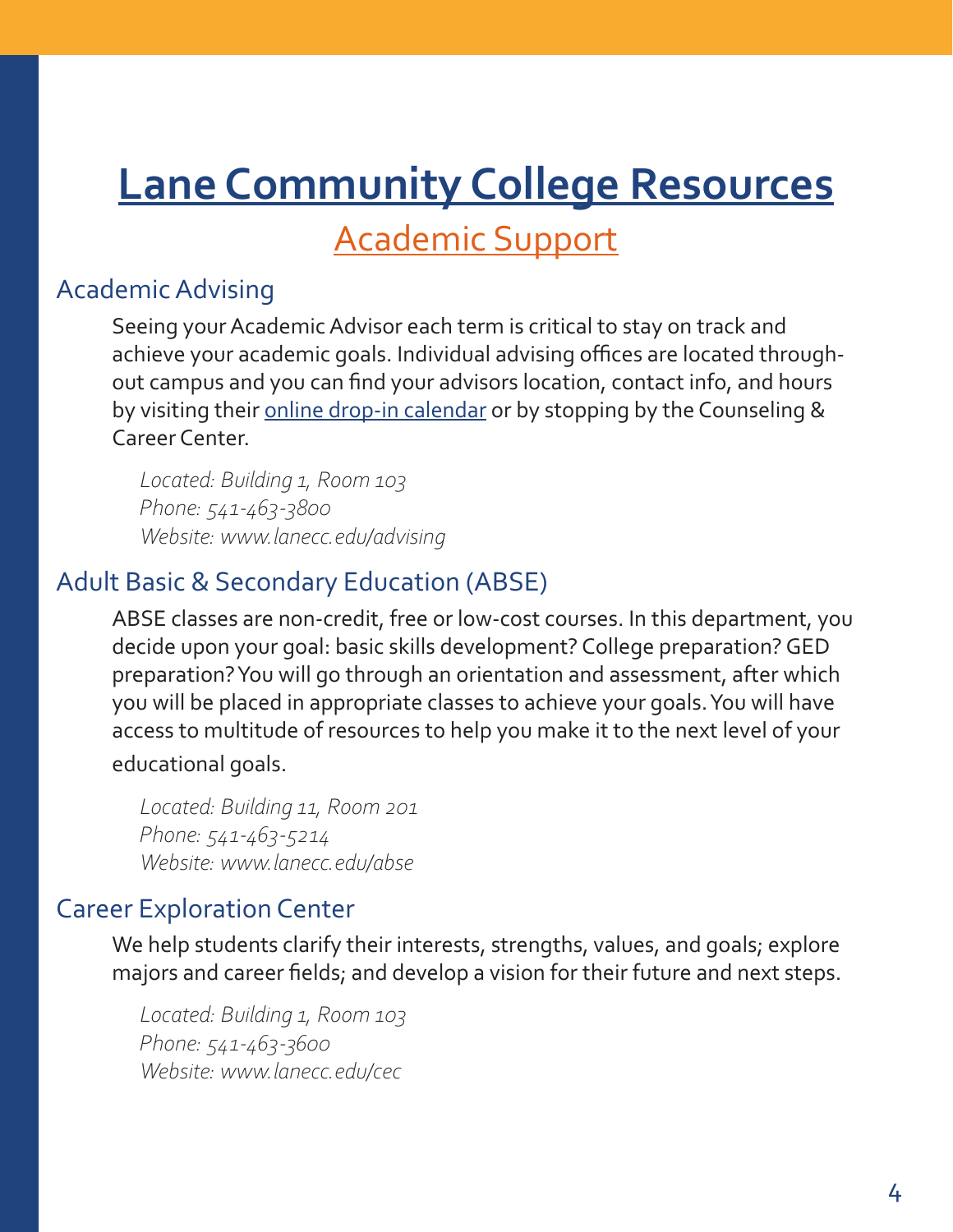# <span id="page-3-0"></span>**Lane Community College Resources**

Academic Support

# Academic Advising

Seeing your Academic Advisor each term is critical to stay on track and achieve your academic goals. Individual advising offices are located throughout campus and you can find your advisors location, contact info, and hours by visiting their [online drop-in calendar](https://www.lanecc.edu/advising/drop-advising) or by stopping by the Counseling & Career Center.

*Located: Building 1, Room 103 Phone: 541-463-3800 Website: www.lanecc.edu/advising*

# Adult Basic & Secondary Education (ABSE)

ABSE classes are non-credit, free or low-cost courses. In this department, you decide upon your goal: basic skills development? College preparation? GED preparation? You will go through an orientation and assessment, after which you will be placed in appropriate classes to achieve your goals. You will have access to multitude of resources to help you make it to the next level of your

educational goals.

*Located: Building 11, Room 201 Phone: 541-463-5214 Website: www.lanecc.edu/abse*

# Career Exploration Center

We help students clarify their interests, strengths, values, and goals; explore majors and career fields; and develop a vision for their future and next steps.

*Located: Building 1, Room 103 Phone: 541-463-3600 Website: www.lanecc.edu/cec*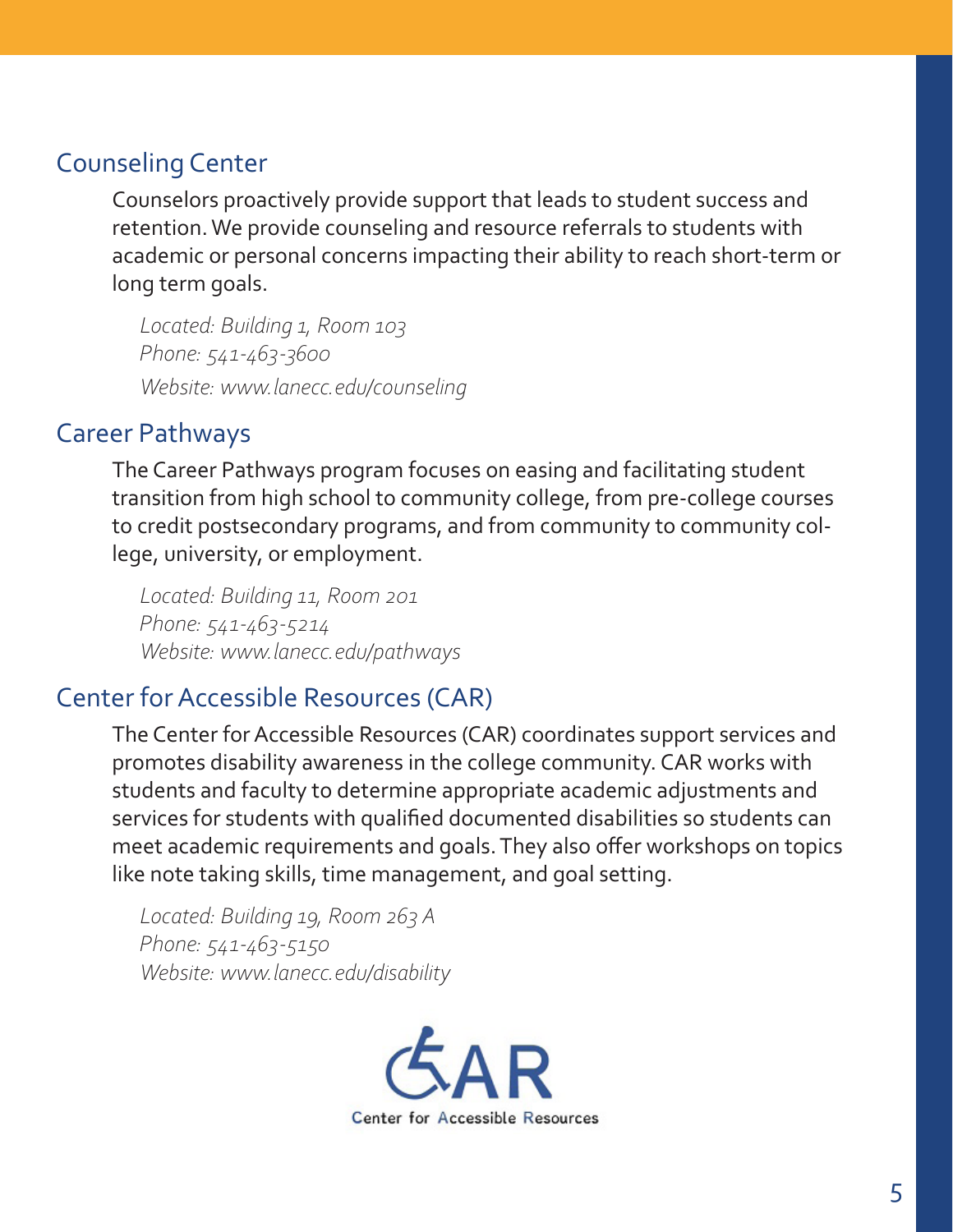# <span id="page-4-0"></span>Counseling Center

Counselors proactively provide support that leads to student success and retention. We provide counseling and resource referrals to students with academic or personal concerns impacting their ability to reach short-term or long term goals.

*Located: Building 1, Room 103 Phone: 541-463-3600 Website: www.lanecc.edu/counseling* 

# Career Pathways

The Career Pathways program focuses on easing and facilitating student transition from high school to community college, from pre-college courses to credit postsecondary programs, and from community to community college, university, or employment.

*Located: Building 11, Room 201 Phone: 541-463-5214 Website: www.lanecc.edu/pathways*

# Center for Accessible Resources (CAR)

The Center for Accessible Resources (CAR) coordinates support services and promotes disability awareness in the college community. CAR works with students and faculty to determine appropriate academic adjustments and services for students with qualified documented disabilities so students can meet academic requirements and goals. They also offer workshops on topics like note taking skills, time management, and goal setting.

*Located: Building 19, Room 263 A Phone: 541-463-5150 Website: www.lanecc.edu/disability*

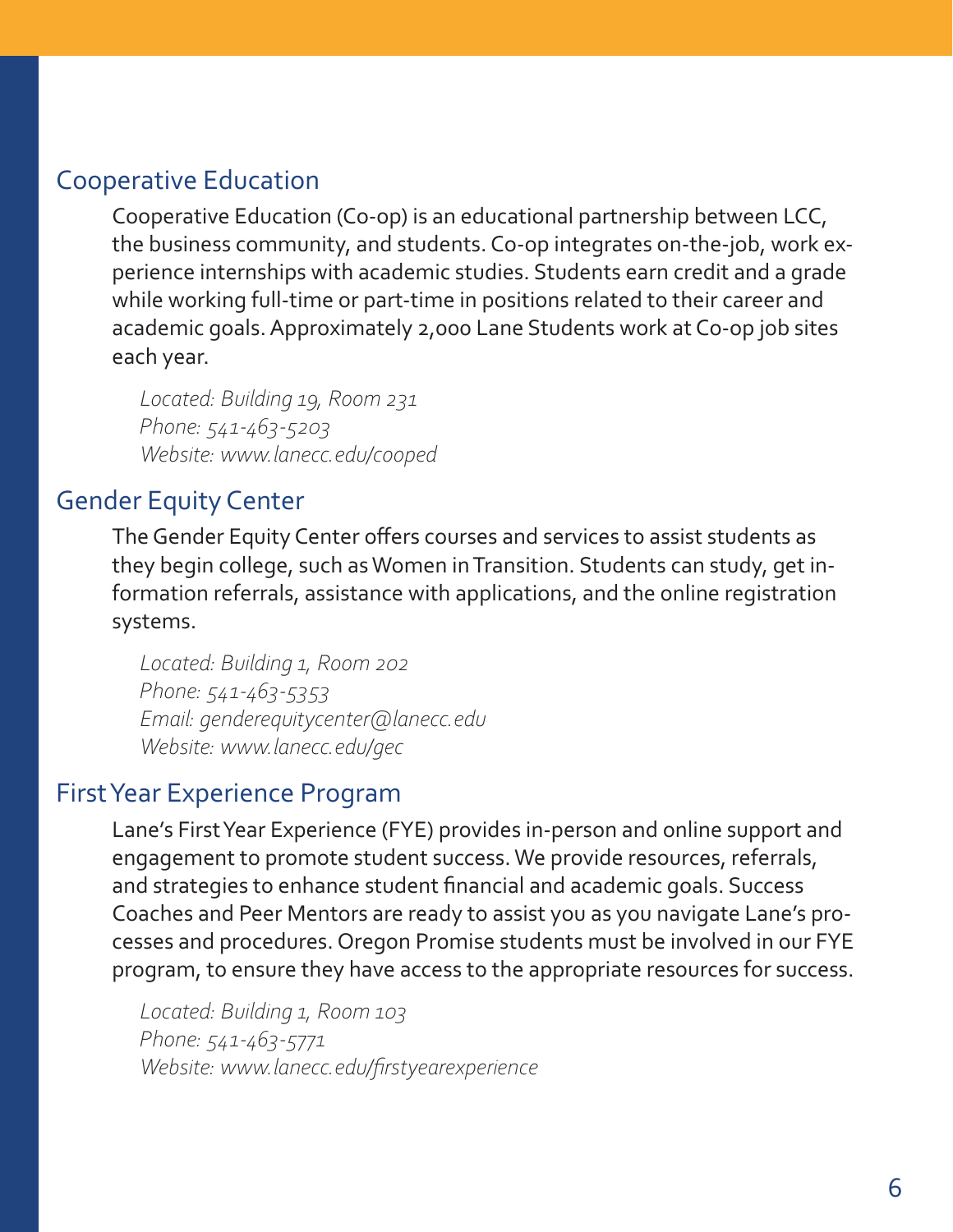# <span id="page-5-0"></span>Cooperative Education

Cooperative Education (Co-op) is an educational partnership between LCC, the business community, and students. Co-op integrates on-the-job, work experience internships with academic studies. Students earn credit and a grade while working full-time or part-time in positions related to their career and academic goals. Approximately 2,000 Lane Students work at Co-op job sites each year.

*Located: Building 19, Room 231 Phone: 541-463-5203 Website: www.lanecc.edu/cooped*

# Gender Equity Center

The Gender Equity Center offers courses and services to assist students as they begin college, such as Women in Transition. Students can study, get information referrals, assistance with applications, and the online registration systems.

*Located: Building 1, Room 202 Phone: 541-463-5353 Email: genderequitycenter@lanecc.edu Website: www.lanecc.edu/gec*

# First Year Experience Program

Lane's First Year Experience (FYE) provides in-person and online support and engagement to promote student success. We provide resources, referrals, and strategies to enhance student financial and academic goals. Success Coaches and Peer Mentors are ready to assist you as you navigate Lane's processes and procedures. Oregon Promise students must be involved in our FYE program, to ensure they have access to the appropriate resources for success.

*Located: Building 1, Room 103 Phone: 541-463-5771 Website: www.lanecc.edu/firstyearexperience*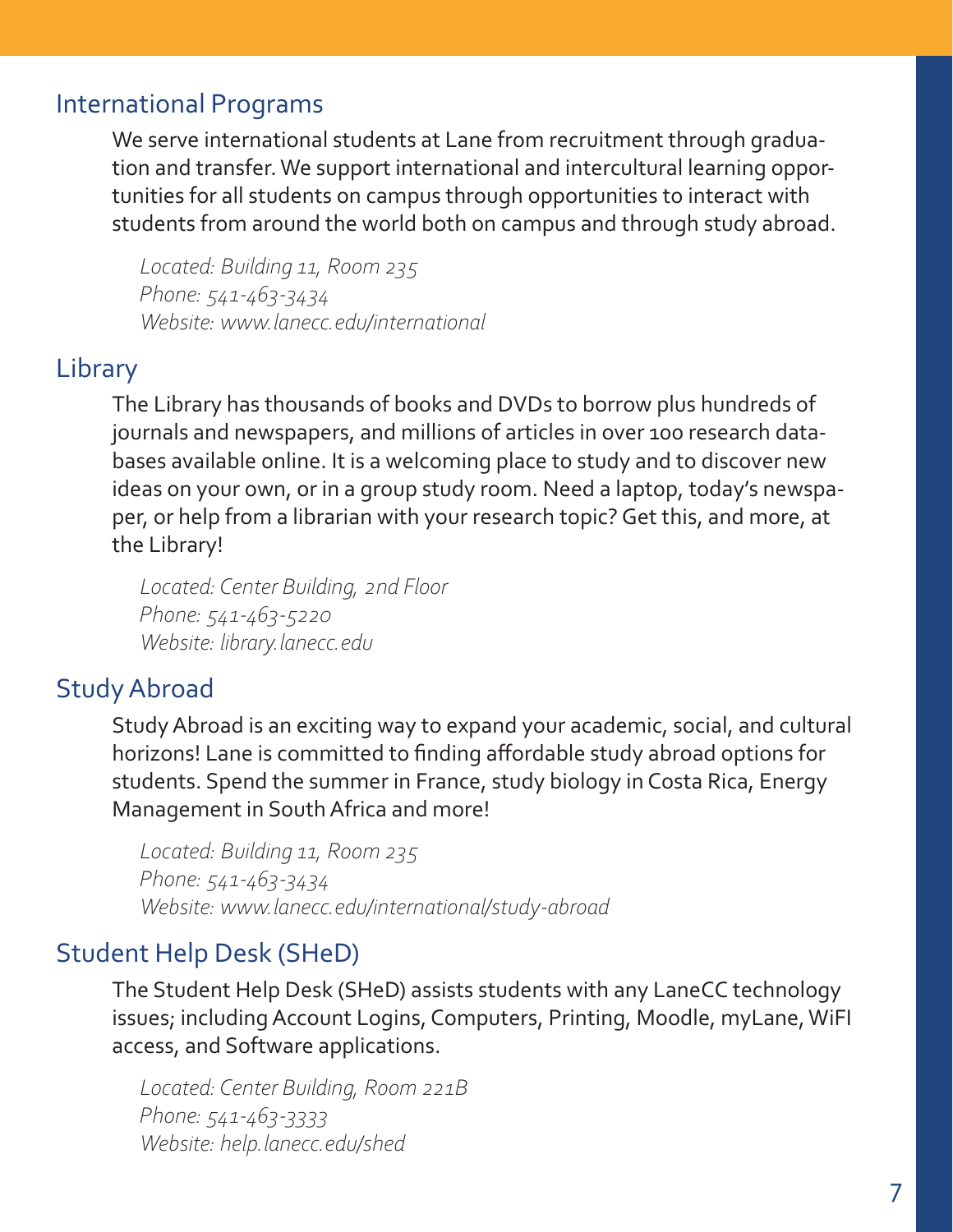# <span id="page-6-0"></span>International Programs

We serve international students at Lane from recruitment through graduation and transfer. We support international and intercultural learning opportunities for all students on campus through opportunities to interact with students from around the world both on campus and through study abroad.

*Located: Building 11, Room 235 Phone: 541-463-3434 Website: www.lanecc.edu/international*

# Library

The Library has thousands of books and DVDs to borrow plus hundreds of journals and newspapers, and millions of articles in over 100 research databases available online. It is a welcoming place to study and to discover new ideas on your own, or in a group study room. Need a laptop, today's newspaper, or help from a librarian with your research topic? Get this, and more, at the Library!

*Located: Center Building, 2nd Floor Phone: 541-463-5220 Website: library.lanecc.edu*

# Study Abroad

Study Abroad is an exciting way to expand your academic, social, and cultural horizons! Lane is committed to finding affordable study abroad options for students. Spend the summer in France, study biology in Costa Rica, Energy Management in South Africa and more!

*Located: Building 11, Room 235 Phone: 541-463-3434 Website: www.lanecc.edu/international/study-abroad*

# Student Help Desk (SHeD)

The Student Help Desk (SHeD) assists students with any LaneCC technology issues; including Account Logins, Computers, Printing, Moodle, myLane, WiFI access, and Software applications.

*Located: Center Building, Room 221B Phone: 541-463-3333 Website: help.lanecc.edu/shed*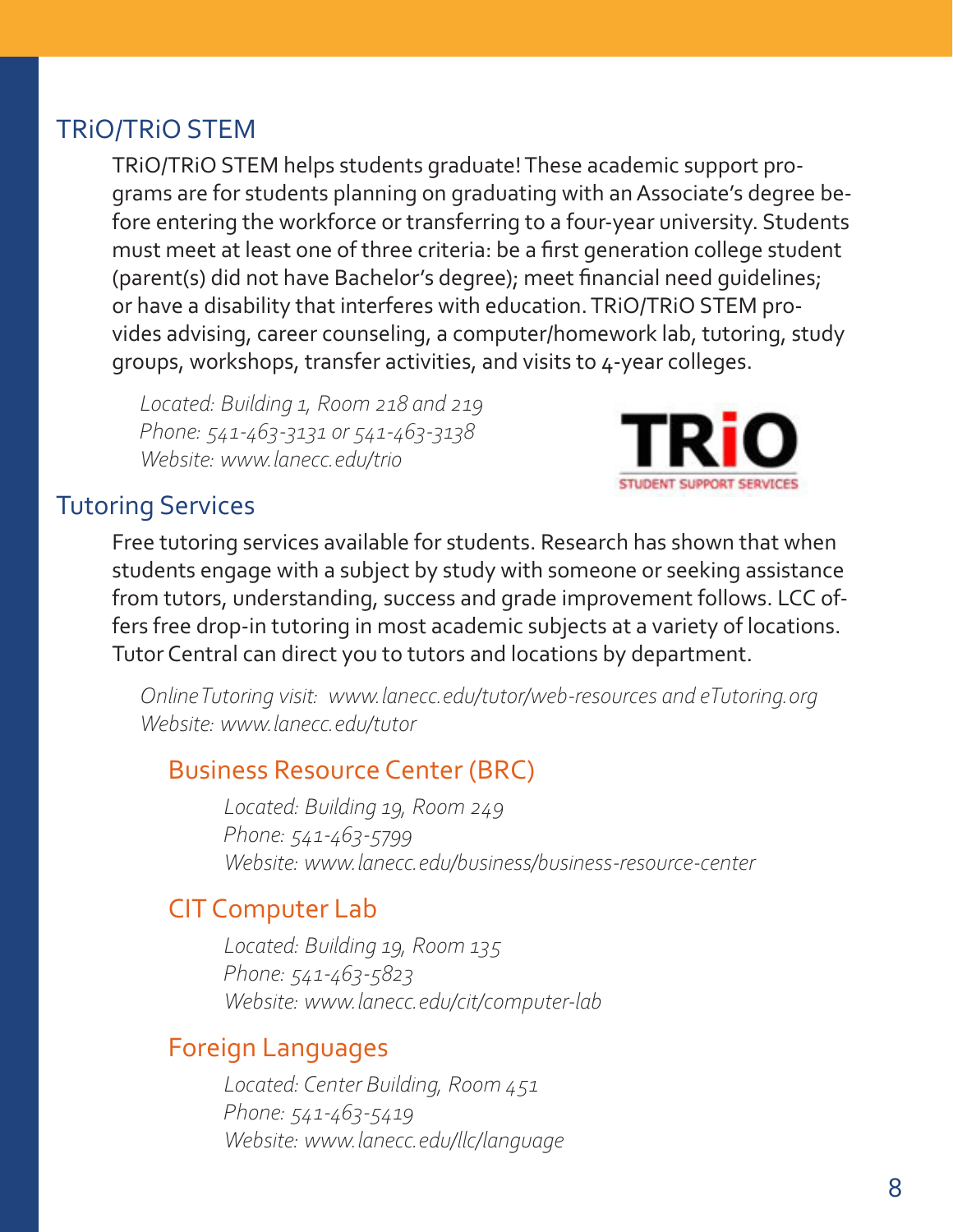# <span id="page-7-0"></span>TRiO/TRiO STEM

TRiO/TRiO STEM helps students graduate! These academic support programs are for students planning on graduating with an Associate's degree before entering the workforce or transferring to a four-year university. Students must meet at least one of three criteria: be a first generation college student (parent(s) did not have Bachelor's degree); meet financial need guidelines; or have a disability that interferes with education. TRiO/TRiO STEM provides advising, career counseling, a computer/homework lab, tutoring, study groups, workshops, transfer activities, and visits to 4-year colleges.

*Located: Building 1, Room 218 and 219 Phone: 541-463-3131 or 541-463-3138 Website: www.lanecc.edu/trio*



# Tutoring Services

Free tutoring services available for students. Research has shown that when students engage with a subject by study with someone or seeking assistance from tutors, understanding, success and grade improvement follows. LCC offers free drop-in tutoring in most academic subjects at a variety of locations. Tutor Central can direct you to tutors and locations by department.

*Online Tutoring visit: www.lanecc.edu/tutor/web-resources and eTutoring.org Website: www.lanecc.edu/tutor*

# Business Resource Center (BRC)

 *Located: Building 19, Room 249 Phone: 541-463-5799 Website: www.lanecc.edu/business/business-resource-center*

# CIT Computer Lab

 *Located: Building 19, Room 135 Phone: 541-463-5823 Website: www.lanecc.edu/cit/computer-lab*

# Foreign Languages

 *Located: Center Building, Room 451 Phone: 541-463-5419 Website: www.lanecc.edu/llc/language*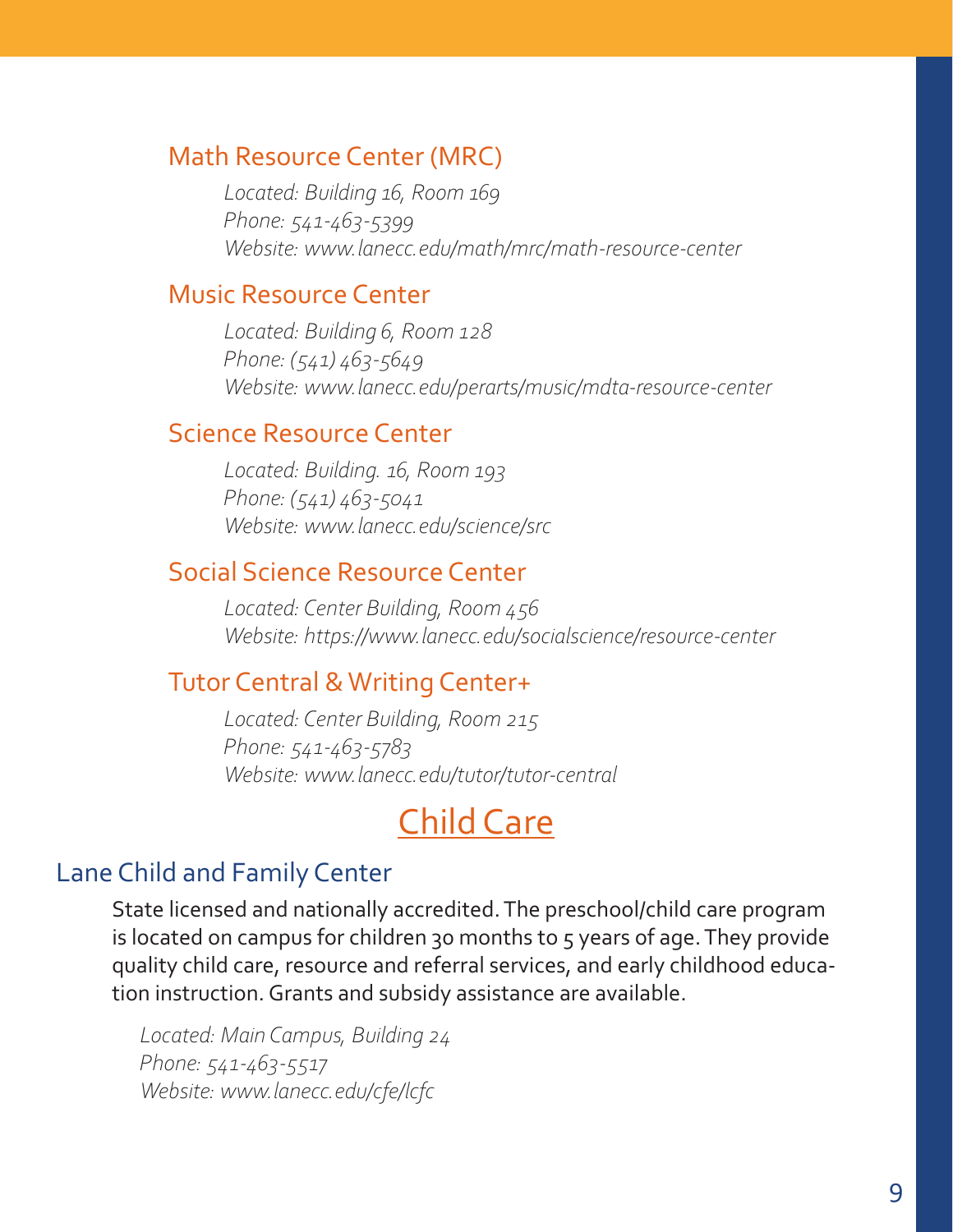# <span id="page-8-0"></span>Math Resource Center (MRC)

 *Located: Building 16, Room 169 Phone: 541-463-5399 Website: www.lanecc.edu/math/mrc/math-resource-center*

# Music Resource Center

 *Located: Building 6, Room 128 Phone: (541) 463-5649 Website: www.lanecc.edu/perarts/music/mdta-resource-center*

### Science Resource Center

 *Located: Building. 16, Room 193 Phone: (541) 463-5041 Website: www.lanecc.edu/science/src*

# Social Science Resource Center

 *Located: Center Building, Room 456 Website: https://www.lanecc.edu/socialscience/resource-center*

# Tutor Central & Writing Center+

 *Located: Center Building, Room 215 Phone: 541-463-5783 Website: www.lanecc.edu/tutor/tutor-central*

# Child Care

# Lane Child and Family Center

State licensed and nationally accredited. The preschool/child care program is located on campus for children 30 months to 5 years of age. They provide quality child care, resource and referral services, and early childhood education instruction. Grants and subsidy assistance are available.

*Located: Main Campus, Building 24 Phone: 541-463-5517 Website: www.lanecc.edu/cfe/lcfc*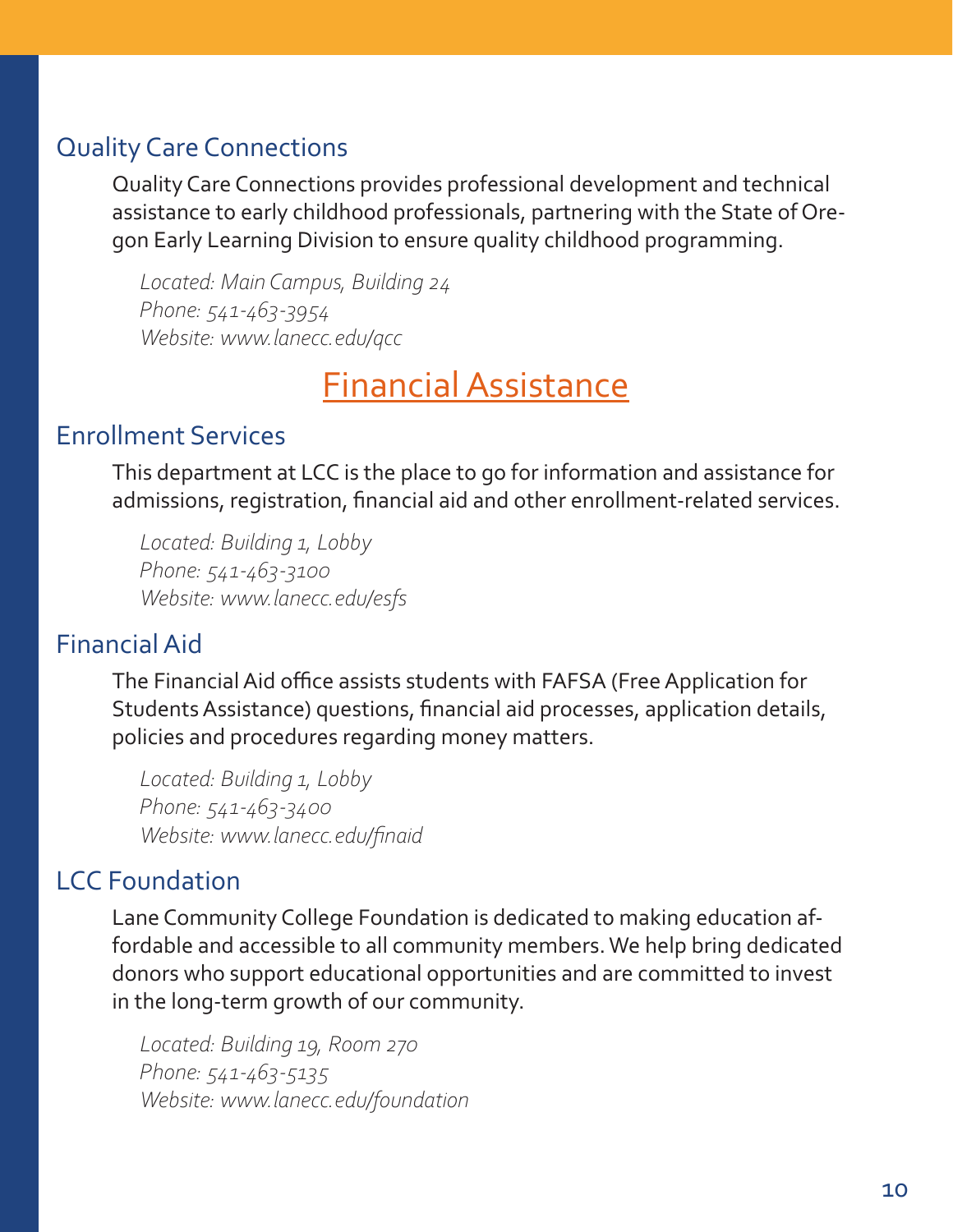# <span id="page-9-0"></span>Quality Care Connections

Quality Care Connections provides professional development and technical assistance to early childhood professionals, partnering with the State of Oregon Early Learning Division to ensure quality childhood programming.

*Located: Main Campus, Building 24 Phone: 541-463-3954 Website: www.lanecc.edu/qcc*

Financial Assistance

# Enrollment Services

This department at LCC is the place to go for information and assistance for admissions, registration, financial aid and other enrollment-related services.

*Located: Building 1, Lobby Phone: 541-463-3100 Website: www.lanecc.edu/esfs*

# Financial Aid

The Financial Aid office assists students with FAFSA (Free Application for Students Assistance) questions, financial aid processes, application details, policies and procedures regarding money matters.

*Located: Building 1, Lobby Phone: 541-463-3400 Website: www.lanecc.edu/finaid*

# LCC Foundation

Lane Community College Foundation is dedicated to making education affordable and accessible to all community members. We help bring dedicated donors who support educational opportunities and are committed to invest in the long-term growth of our community.

*Located: Building 19, Room 270 Phone: 541-463-5135 Website: www.lanecc.edu/foundation*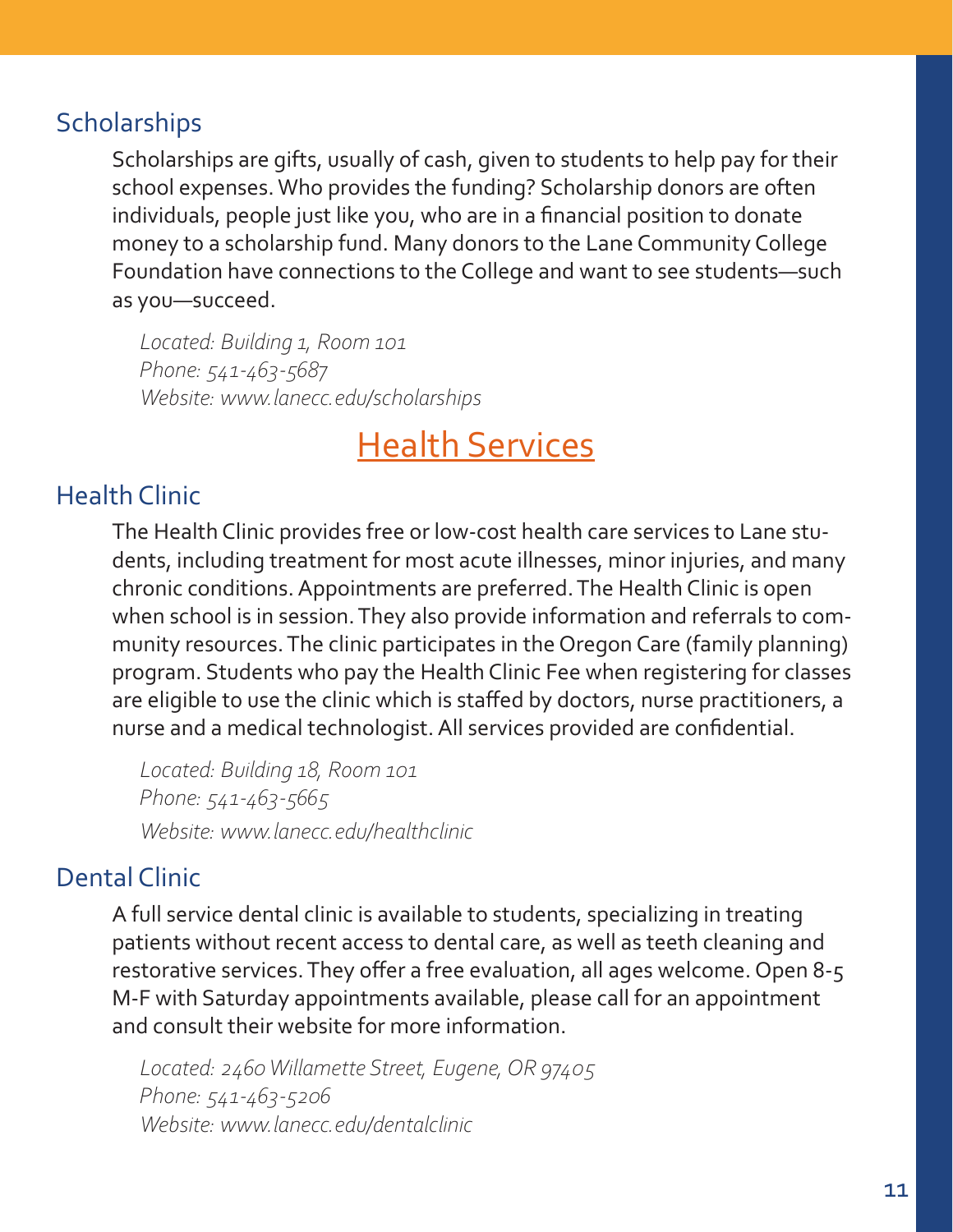# <span id="page-10-0"></span>**Scholarships**

Scholarships are gifts, usually of cash, given to students to help pay for their school expenses. Who provides the funding? Scholarship donors are often individuals, people just like you, who are in a financial position to donate money to a scholarship fund. Many donors to the Lane Community College Foundation have connections to the College and want to see students—such as you—succeed.

*Located: Building 1, Room 101 Phone: 541-463-5687 Website: www.lanecc.edu/scholarships*

# Health Services

# Health Clinic

The Health Clinic provides free or low-cost health care services to Lane students, including treatment for most acute illnesses, minor injuries, and many chronic conditions. Appointments are preferred. The Health Clinic is open when school is in session. They also provide information and referrals to community resources. The clinic participates in the Oregon Care (family planning) program. Students who pay the Health Clinic Fee when registering for classes are eligible to use the clinic which is staffed by doctors, nurse practitioners, a nurse and a medical technologist. All services provided are confidential.

*Located: Building 18, Room 101 Phone: 541-463-5665 Website: www.lanecc.edu/healthclinic*

# Dental Clinic

A full service dental clinic is available to students, specializing in treating patients without recent access to dental care, as well as teeth cleaning and restorative services. They offer a free evaluation, all ages welcome. Open 8-5 M-F with Saturday appointments available, please call for an appointment and consult their website for more information.

*Located: 2460 Willamette Street, Eugene, OR 97405 Phone: 541-463-5206 Website: www.lanecc.edu/dentalclinic*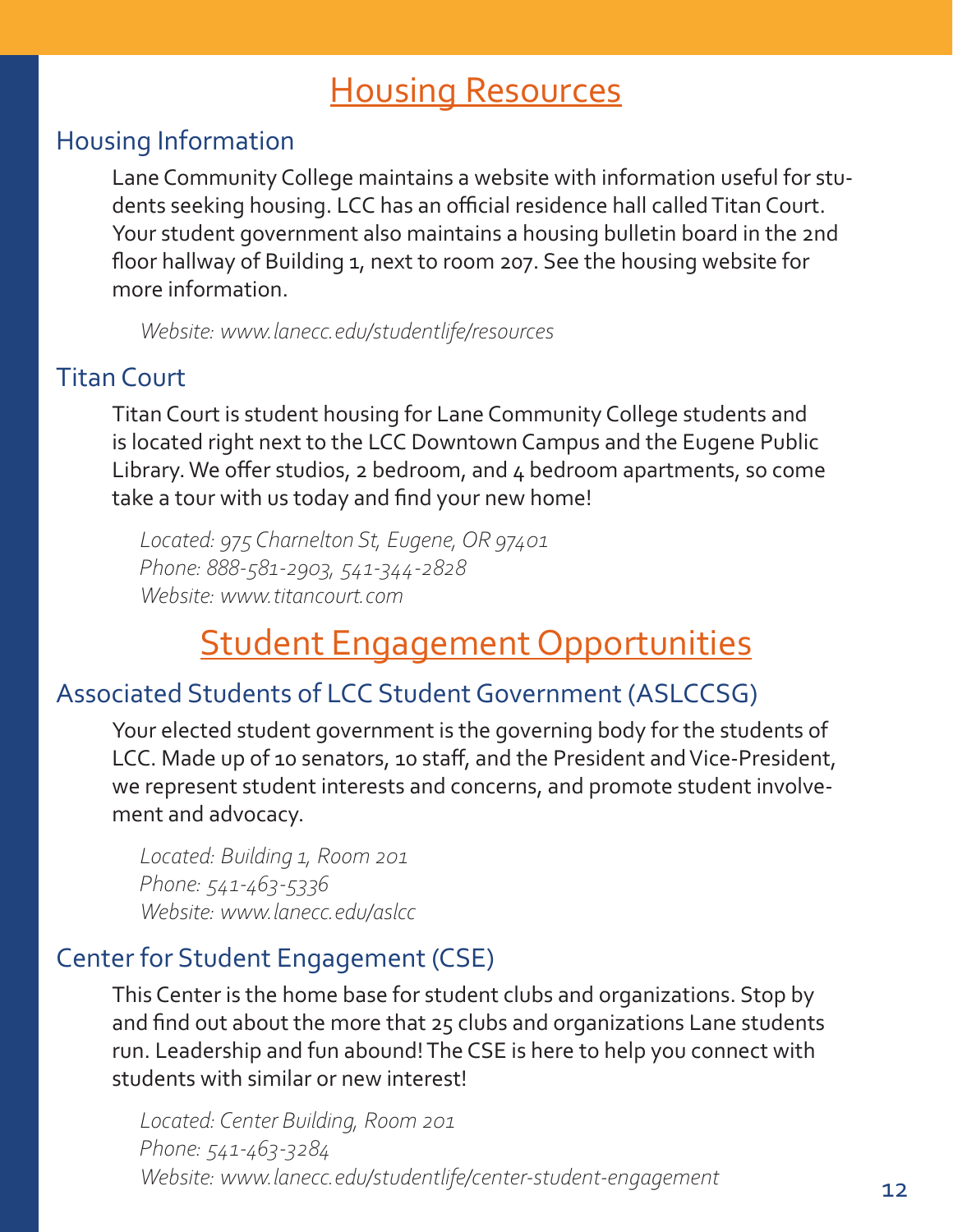# Housing Resources

# <span id="page-11-0"></span>Housing Information

Lane Community College maintains a website with information useful for students seeking housing. LCC has an official residence hall called Titan Court. Your student government also maintains a housing bulletin board in the 2nd floor hallway of Building 1, next to room 207. See the housing website for more information.

*Website: www.lanecc.edu/studentlife/resources*

# Titan Court

Titan Court is student housing for Lane Community College students and is located right next to the LCC Downtown Campus and the Eugene Public Library. We offer studios, 2 bedroom, and 4 bedroom apartments, so come take a tour with us today and find your new home!

*Located: 975 Charnelton St, Eugene, OR 97401 Phone: 888-581-2903, 541-344-2828 Website: www.titancourt.com*

# Student Engagement Opportunities

# Associated Students of LCC Student Government (ASLCCSG)

Your elected student government is the governing body for the students of LCC. Made up of 10 senators, 10 staff, and the President and Vice-President, we represent student interests and concerns, and promote student involvement and advocacy.

*Located: Building 1, Room 201 Phone: 541-463-5336 Website: www.lanecc.edu/aslcc*

# Center for Student Engagement (CSE)

This Center is the home base for student clubs and organizations. Stop by and find out about the more that 25 clubs and organizations Lane students run. Leadership and fun abound! The CSE is here to help you connect with students with similar or new interest!

*Located: Center Building, Room 201 Phone: 541-463-3284 Website: www.lanecc.edu/studentlife/center-student-engagement*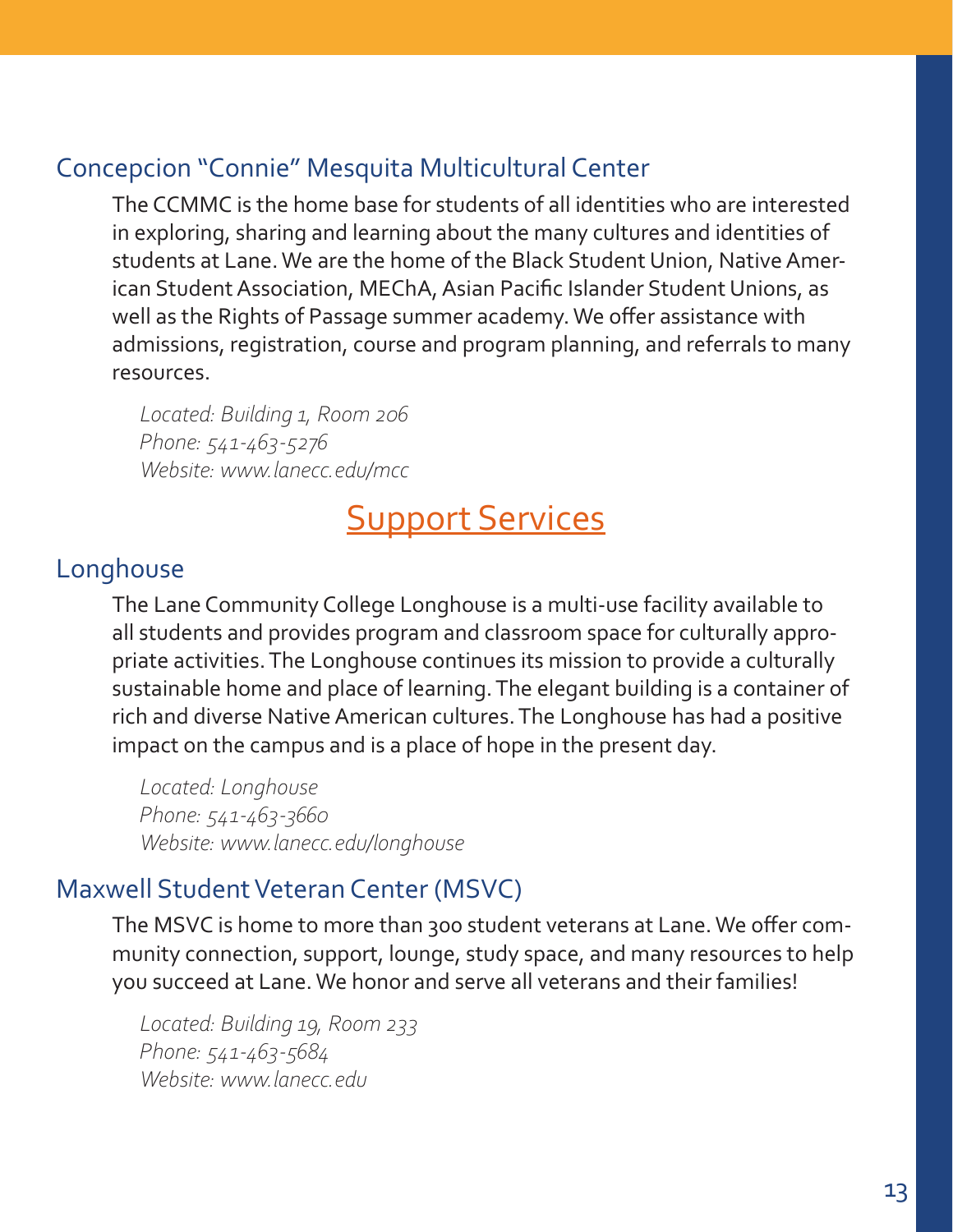# <span id="page-12-0"></span>Concepcion "Connie" Mesquita Multicultural Center

The CCMMC is the home base for students of all identities who are interested in exploring, sharing and learning about the many cultures and identities of students at Lane. We are the home of the Black Student Union, Native American Student Association, MEChA, Asian Pacific Islander Student Unions, as well as the Rights of Passage summer academy. We offer assistance with admissions, registration, course and program planning, and referrals to many resources.

*Located: Building 1, Room 206 Phone: 541-463-5276 Website: www.lanecc.edu/mcc*

# **Support Services**

# Longhouse

The Lane Community College Longhouse is a multi-use facility available to all students and provides program and classroom space for culturally appropriate activities. The Longhouse continues its mission to provide a culturally sustainable home and place of learning. The elegant building is a container of rich and diverse Native American cultures. The Longhouse has had a positive impact on the campus and is a place of hope in the present day.

*Located: Longhouse Phone: 541-463-3660 Website: www.lanecc.edu/longhouse*

# Maxwell Student Veteran Center (MSVC)

The MSVC is home to more than 300 student veterans at Lane. We offer community connection, support, lounge, study space, and many resources to help you succeed at Lane. We honor and serve all veterans and their families!

*Located: Building 19, Room 233 Phone: 541-463-5684 Website: www.lanecc.edu*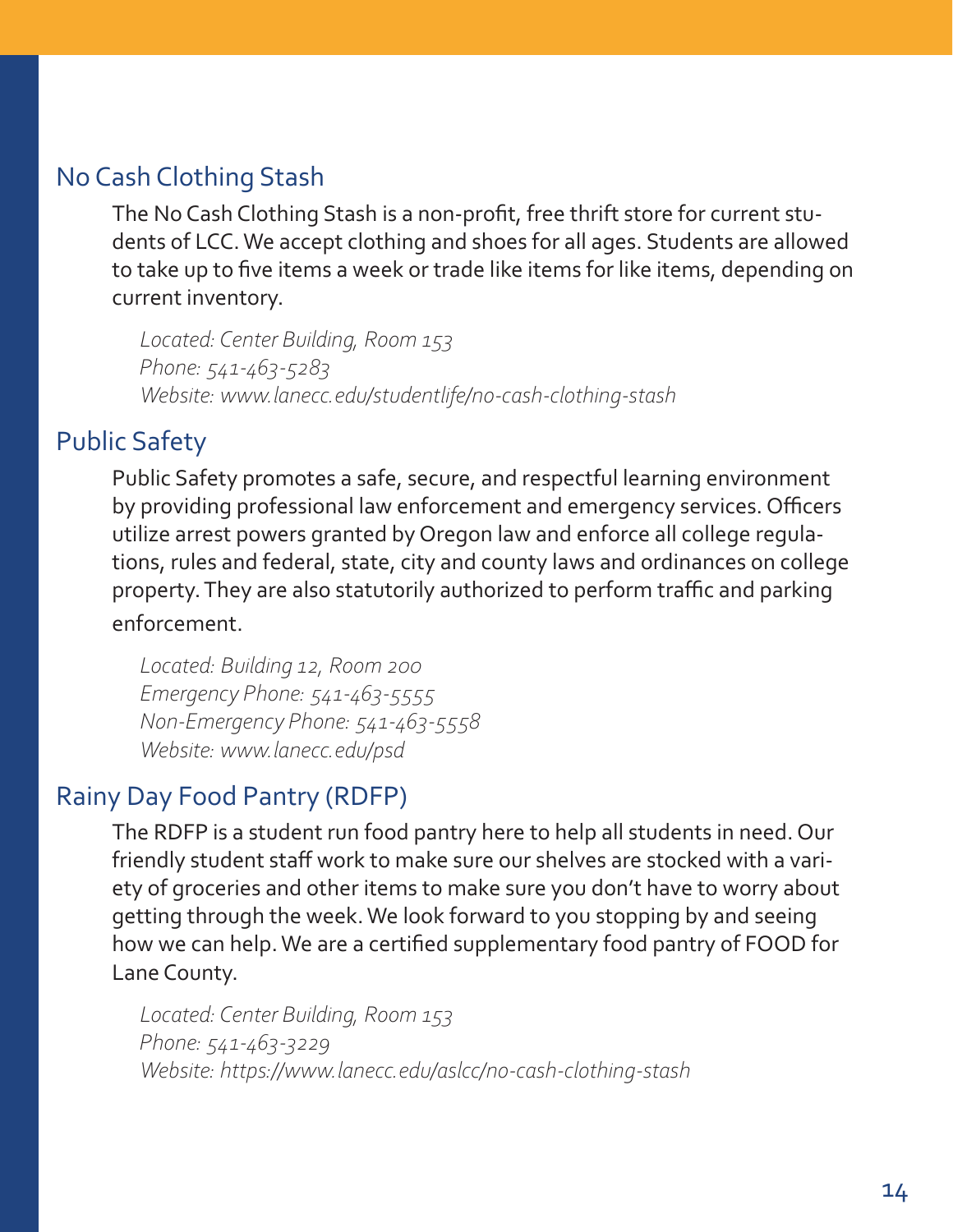# <span id="page-13-0"></span>No Cash Clothing Stash

The No Cash Clothing Stash is a non-profit, free thrift store for current students of LCC. We accept clothing and shoes for all ages. Students are allowed to take up to five items a week or trade like items for like items, depending on current inventory.

*Located: Center Building, Room 153 Phone: 541-463-5283 Website: www.lanecc.edu/studentlife/no-cash-clothing-stash*

# Public Safety

Public Safety promotes a safe, secure, and respectful learning environment by providing professional law enforcement and emergency services. Officers utilize arrest powers granted by Oregon law and enforce all college regulations, rules and federal, state, city and county laws and ordinances on college property. They are also statutorily authorized to perform traffic and parking enforcement.

*Located: Building 12, Room 200 Emergency Phone: 541-463-5555 Non-Emergency Phone: 541-463-5558 Website: www.lanecc.edu/psd*

# Rainy Day Food Pantry (RDFP)

The RDFP is a student run food pantry here to help all students in need. Our friendly student staff work to make sure our shelves are stocked with a variety of groceries and other items to make sure you don't have to worry about getting through the week. We look forward to you stopping by and seeing how we can help. We are a certified supplementary food pantry of FOOD for Lane County.

*Located: Center Building, Room 153 Phone: 541-463-3229 Website: https://www.lanecc.edu/aslcc/no-cash-clothing-stash*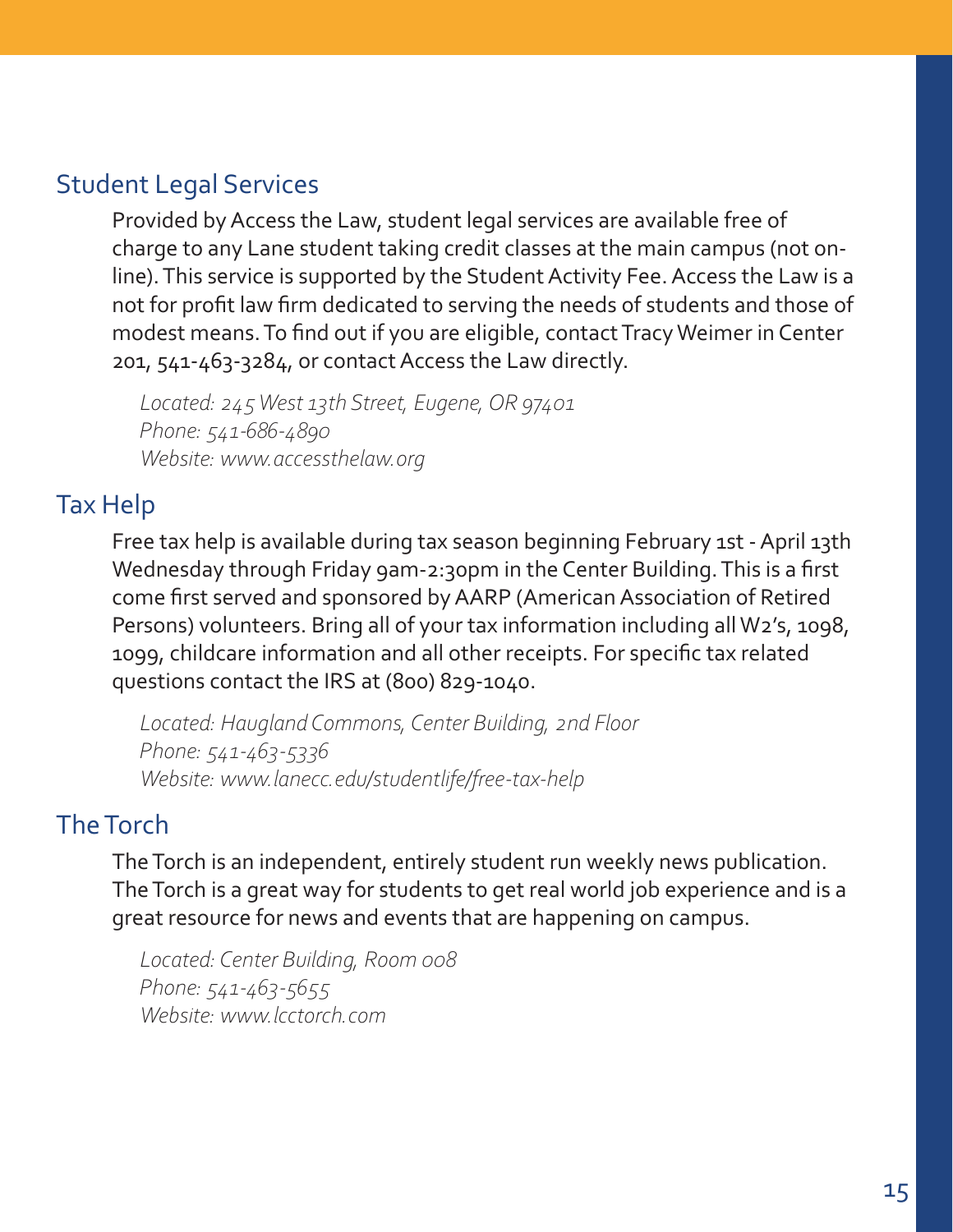# <span id="page-14-0"></span>Student Legal Services

Provided by Access the Law, student legal services are available free of charge to any Lane student taking credit classes at the main campus (not online). This service is supported by the Student Activity Fee. Access the Law is a not for profit law firm dedicated to serving the needs of students and those of modest means. To find out if you are eligible, contact Tracy Weimer in Center 201, 541-463-3284, or contact Access the Law directly.

*Located: 245 West 13th Street, Eugene, OR 97401 Phone: 541-686-4890 Website: www.accessthelaw.org*

# Tax Help

Free tax help is available during tax season beginning February 1st - April 13th Wednesday through Friday 9am-2:30pm in the Center Building. This is a first come first served and sponsored by AARP (American Association of Retired Persons) volunteers. Bring all of your tax information including all W2's, 1098, 1099, childcare information and all other receipts. For specific tax related questions contact the IRS at (800) 829-1040.

*Located: Haugland Commons, Center Building, 2nd Floor Phone: 541-463-5336 Website: www.lanecc.edu/studentlife/free-tax-help*

# The Torch

The Torch is an independent, entirely student run weekly news publication. The Torch is a great way for students to get real world job experience and is a great resource for news and events that are happening on campus.

*Located: Center Building, Room 008 Phone: 541-463-5655 Website: www.lcctorch.com*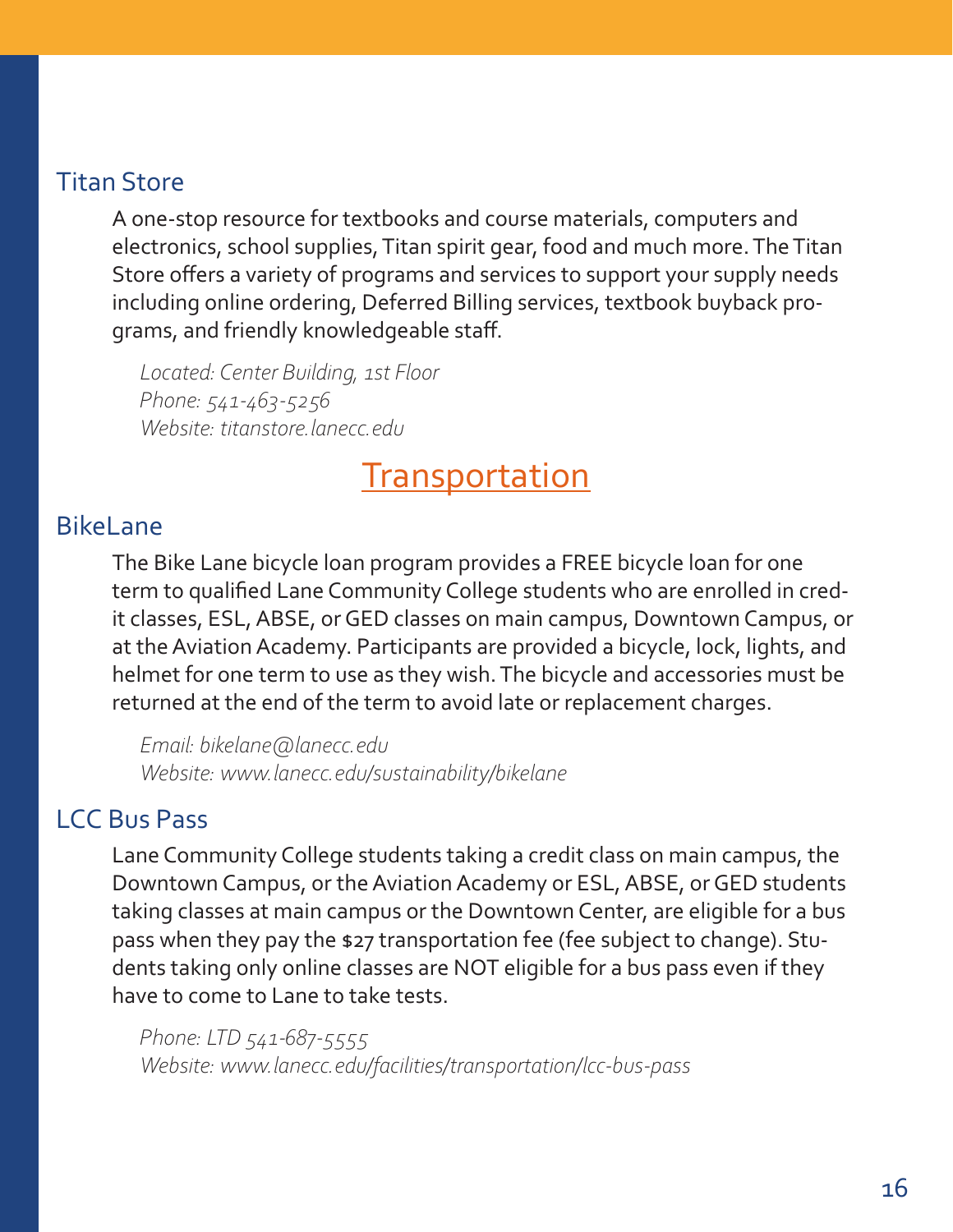# <span id="page-15-0"></span>Titan Store

A one-stop resource for textbooks and course materials, computers and electronics, school supplies, Titan spirit gear, food and much more. The Titan Store offers a variety of programs and services to support your supply needs including online ordering, Deferred Billing services, textbook buyback programs, and friendly knowledgeable staff.

*Located: Center Building, 1st Floor Phone: 541-463-5256 Website: titanstore.lanecc.edu*

# **Transportation**

# BikeLane

The Bike Lane bicycle loan program provides a FREE bicycle loan for one term to qualified Lane Community College students who are enrolled in credit classes, ESL, ABSE, or GED classes on main campus, Downtown Campus, or at the Aviation Academy. Participants are provided a bicycle, lock, lights, and helmet for one term to use as they wish. The bicycle and accessories must be returned at the end of the term to avoid late or replacement charges.

*Email: bikelane@lanecc.edu Website: www.lanecc.edu/sustainability/bikelane*

# LCC Bus Pass

Lane Community College students taking a credit class on main campus, the Downtown Campus, or the Aviation Academy or ESL, ABSE, or GED students taking classes at main campus or the Downtown Center, are eligible for a bus pass when they pay the \$27 transportation fee (fee subject to change). Students taking only online classes are NOT eligible for a bus pass even if they have to come to Lane to take tests.

*Phone: LTD 541-687-5555 Website: www.lanecc.edu/facilities/transportation/lcc-bus-pass*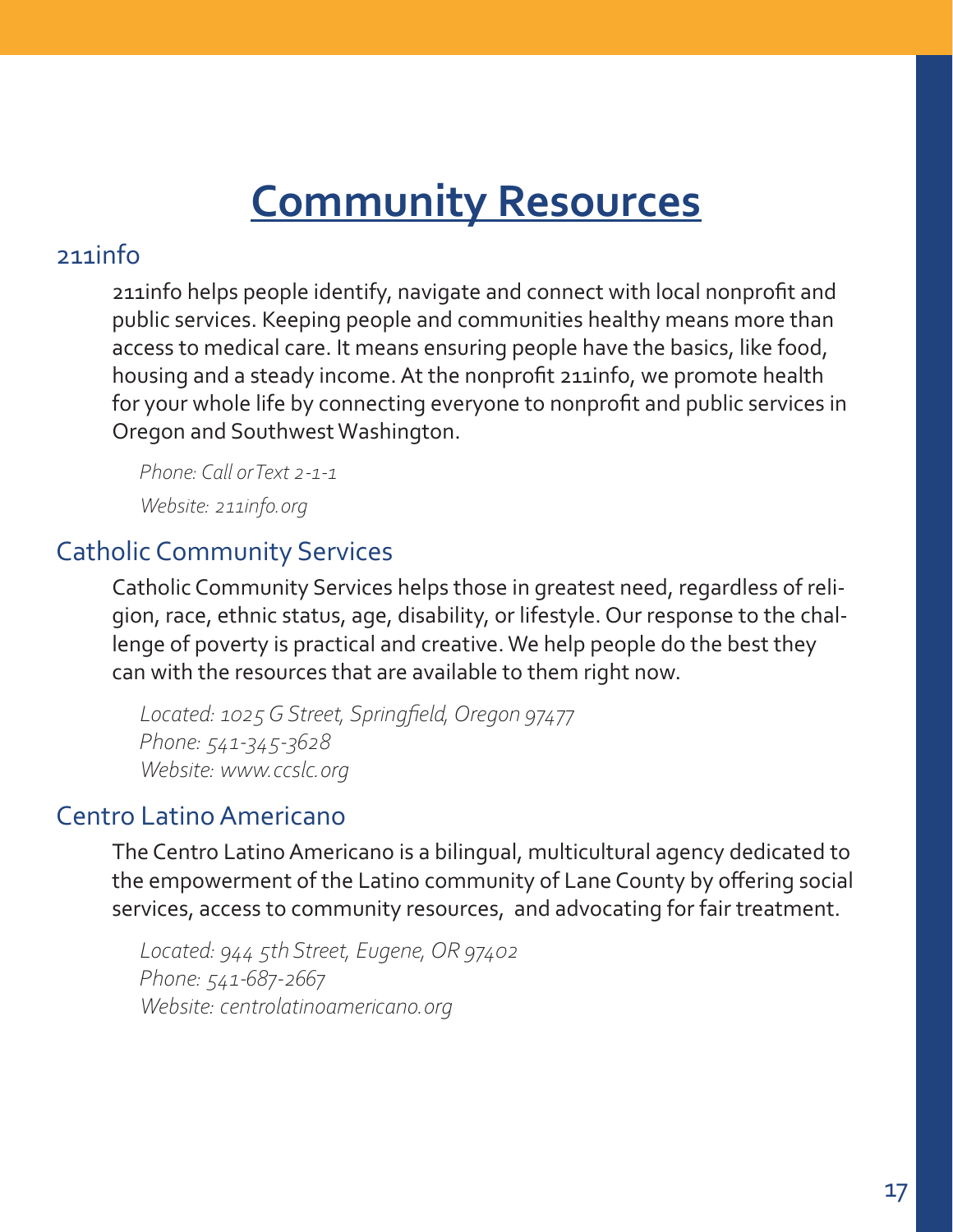# **Community Resources**

# <span id="page-16-0"></span>211info

211info helps people identify, navigate and connect with local nonprofit and public services. Keeping people and communities healthy means more than access to medical care. It means ensuring people have the basics, like food, housing and a steady income. At the nonprofit 211info, we promote health for your whole life by connecting everyone to nonprofit and public services in Oregon and Southwest Washington.

*Phone: Call or Text 2-1-1 Website: 211info.org*

# Catholic Community Services

Catholic Community Services helps those in greatest need, regardless of religion, race, ethnic status, age, disability, or lifestyle. Our response to the challenge of poverty is practical and creative. We help people do the best they can with the resources that are available to them right now.

*Located: 1025 G Street, Springfield, Oregon 97477 Phone: 541-345-3628 Website: www.ccslc.org*

# Centro Latino Americano

The Centro Latino Americano is a bilingual, multicultural agency dedicated to the empowerment of the Latino community of Lane County by offering social services, access to community resources, and advocating for fair treatment.

*Located: 944 5th Street, Eugene, OR 97402 Phone: 541-687-2667 Website: centrolatinoamericano.org*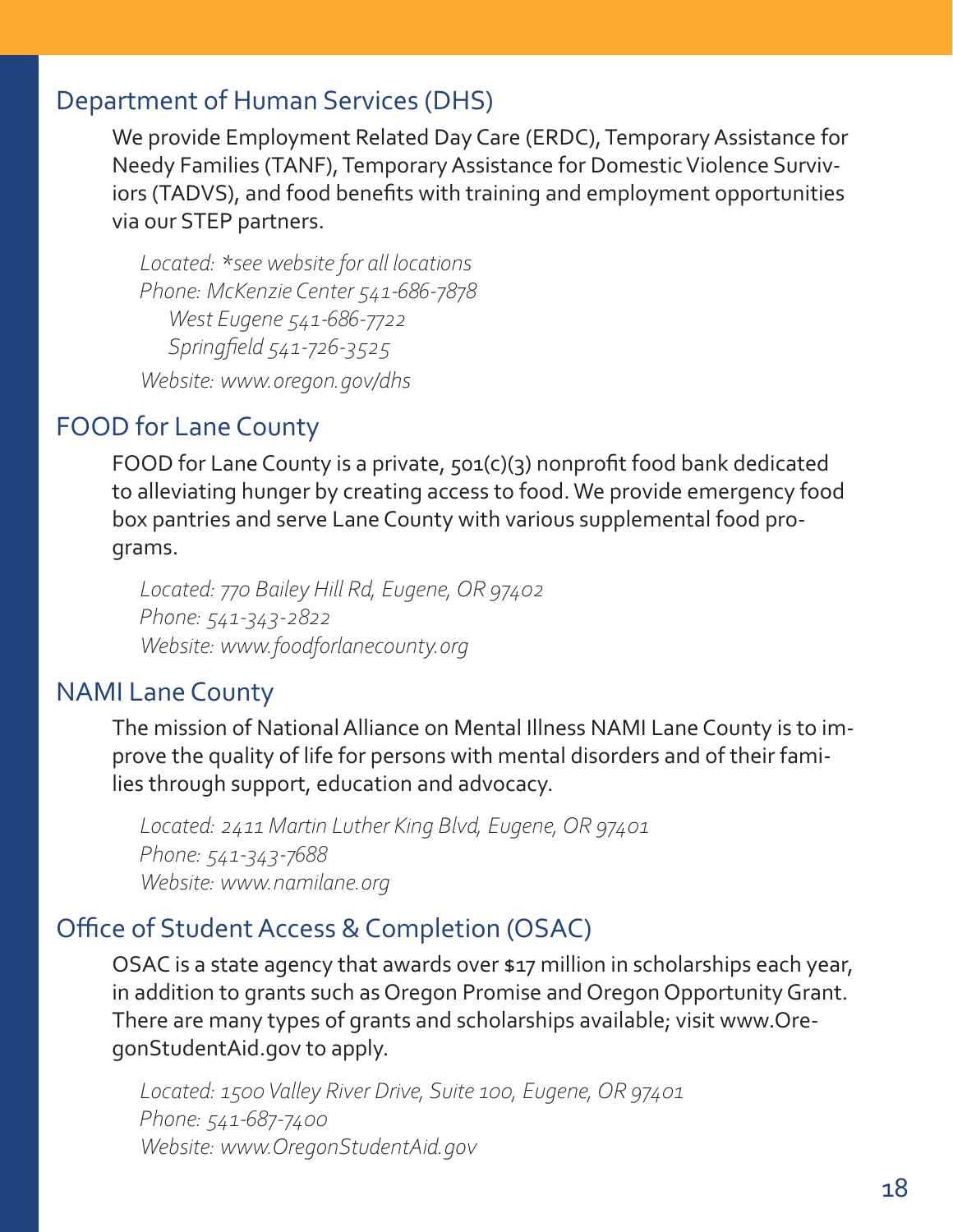# <span id="page-17-0"></span>Department of Human Services (DHS)

We provide Employment Related Day Care (ERDC), Temporary Assistance for Needy Families (TANF), Temporary Assistance for Domestic Violence Surviviors (TADVS), and food benefits with training and employment opportunities via our STEP partners.

*Located: \*see website for all locations Phone: McKenzie Center 541-686-7878 West Eugene 541-686-7722 Springfield 541-726-3525 Website: www.oregon.gov/dhs*

# FOOD for Lane County

FOOD for Lane County is a private, 501(c)(3) nonprofit food bank dedicated to alleviating hunger by creating access to food. We provide emergency food box pantries and serve Lane County with various supplemental food programs.

*Located: 770 Bailey Hill Rd, Eugene, OR 97402 Phone: 541-343-2822 Website: www.foodforlanecounty.org*

# NAMI Lane County

The mission of National Alliance on Mental Illness NAMI Lane County is to improve the quality of life for persons with mental disorders and of their families through support, education and advocacy.

*Located: 2411 Martin Luther King Blvd, Eugene, OR 97401 Phone: 541-343-7688 Website: www.namilane.org*

# Office of Student Access & Completion (OSAC)

OSAC is a state agency that awards over \$17 million in scholarships each year, in addition to grants such as Oregon Promise and Oregon Opportunity Grant. There are many types of grants and scholarships available; visit www.OregonStudentAid.gov to apply.

*Located: 1500 Valley River Drive, Suite 100, Eugene, OR 97401 Phone: 541-687-7400 Website: www.OregonStudentAid.gov*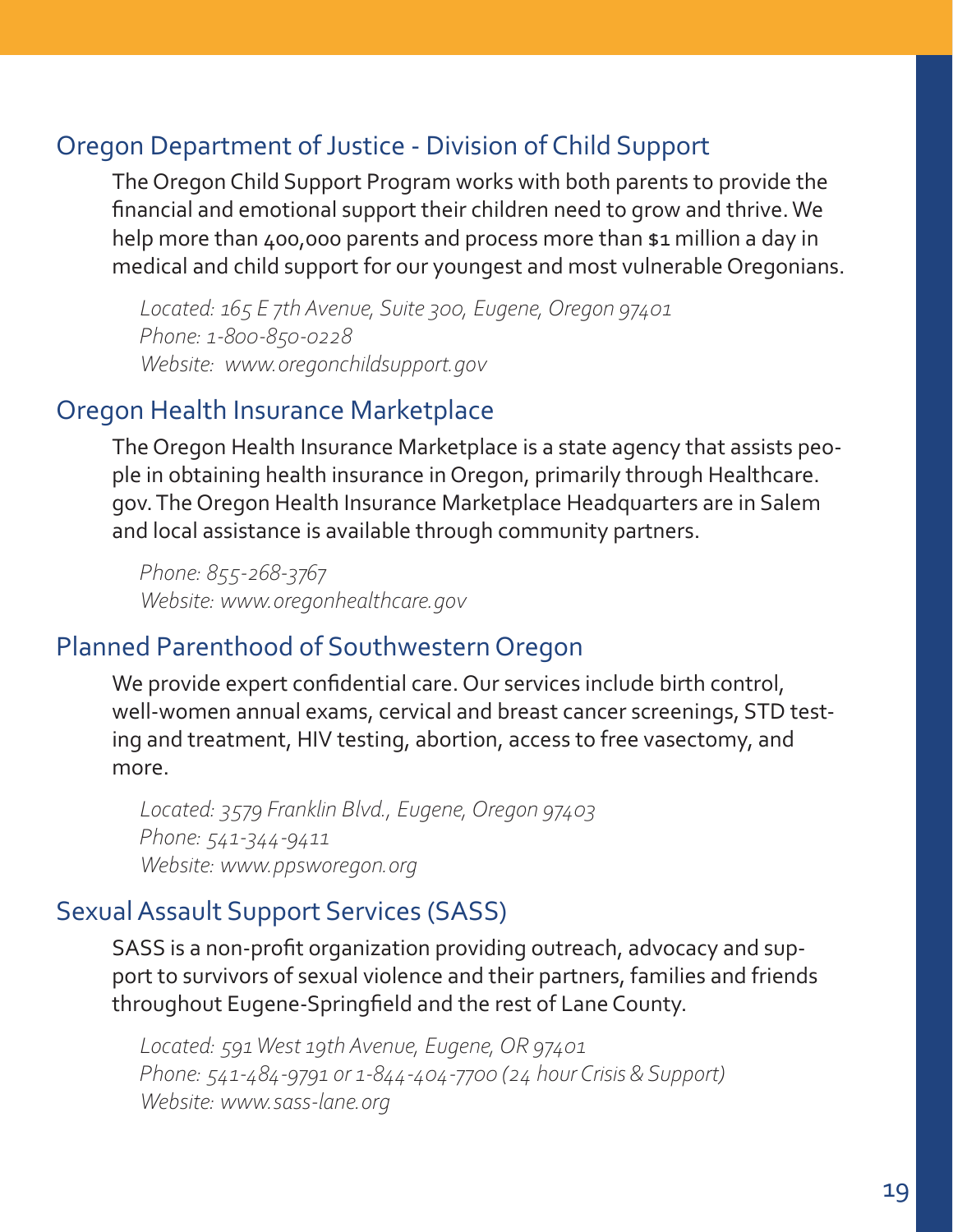# <span id="page-18-0"></span>Oregon Department of Justice - Division of Child Support

The Oregon Child Support Program works with both parents to provide the financial and emotional support their children need to grow and thrive. We help more than 400,000 parents and process more than \$1 million a day in medical and child support for our youngest and most vulnerable Oregonians.

*Located: 165 E 7th Avenue, Suite 300, Eugene, Oregon 97401 Phone: 1-800-850-0228 Website: www.oregonchildsupport.gov*

# Oregon Health Insurance Marketplace

The Oregon Health Insurance Marketplace is a state agency that assists people in obtaining health insurance in Oregon, primarily through Healthcare. gov. The Oregon Health Insurance Marketplace Headquarters are in Salem and local assistance is available through community partners.

*Phone: 855-268-3767 Website: www.oregonhealthcare.gov*

# Planned Parenthood of Southwestern Oregon

We provide expert confidential care. Our services include birth control, well-women annual exams, cervical and breast cancer screenings, STD testing and treatment, HIV testing, abortion, access to free vasectomy, and more.

*Located: 3579 Franklin Blvd., Eugene, Oregon 97403 Phone: 541-344-9411 Website: www.ppsworegon.org*

# Sexual Assault Support Services (SASS)

SASS is a non-profit organization providing outreach, advocacy and support to survivors of sexual violence and their partners, families and friends throughout Eugene-Springfield and the rest of Lane County.

*Located: 591 West 19th Avenue, Eugene, OR 97401 Phone: 541-484-9791 or 1-844-404-7700 (24 hour Crisis & Support) Website: www.sass-lane.org*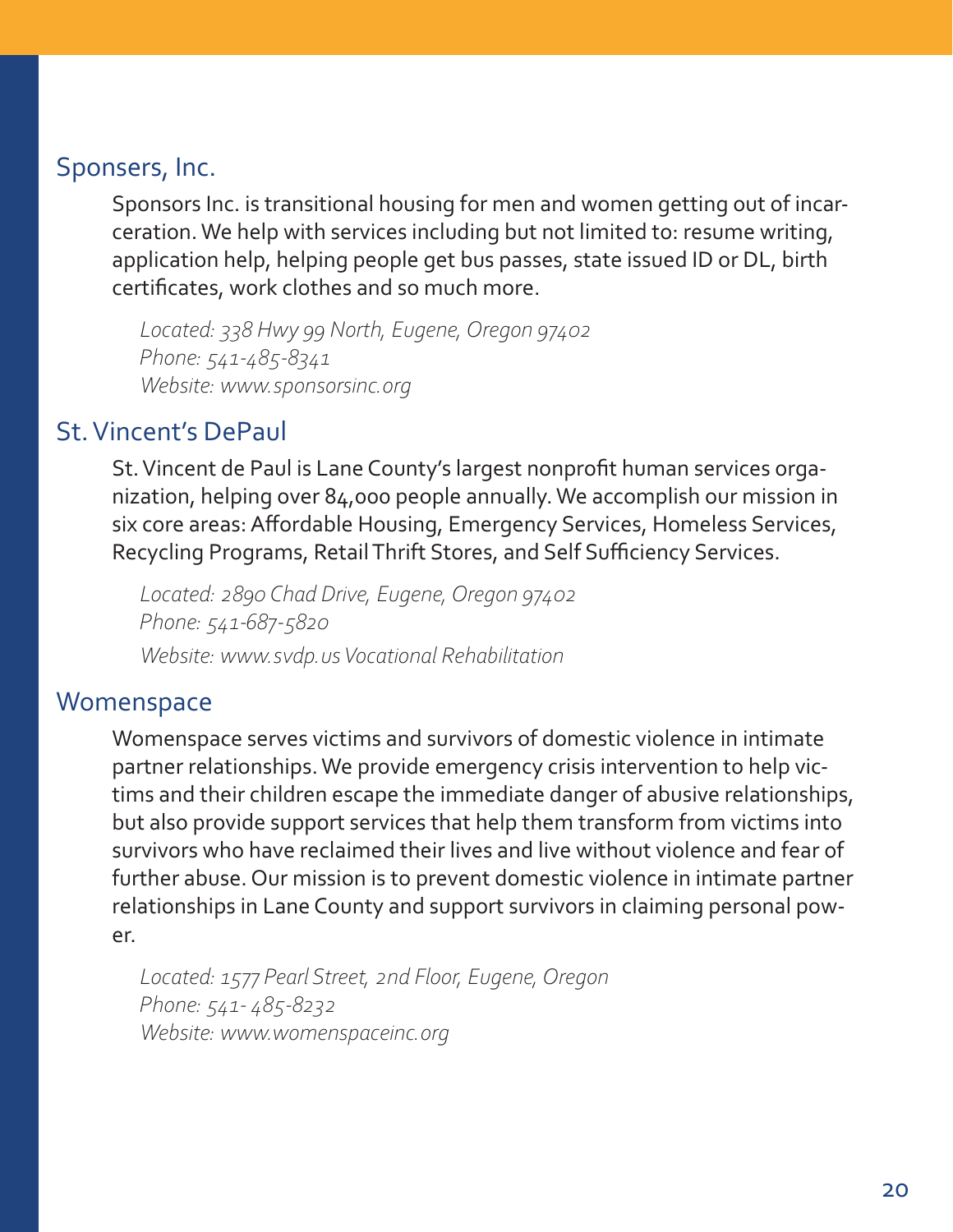# <span id="page-19-0"></span>Sponsers, Inc.

Sponsors Inc. is transitional housing for men and women getting out of incarceration. We help with services including but not limited to: resume writing, application help, helping people get bus passes, state issued ID or DL, birth certificates, work clothes and so much more.

*Located: 338 Hwy 99 North, Eugene, Oregon 97402 Phone: 541-485-8341 Website: www.sponsorsinc.org*

# St. Vincent's DePaul

St. Vincent de Paul is Lane County's largest nonprofit human services organization, helping over 84,000 people annually. We accomplish our mission in six core areas: Affordable Housing, Emergency Services, Homeless Services, Recycling Programs, Retail Thrift Stores, and Self Sufficiency Services.

*Located: 2890 Chad Drive, Eugene, Oregon 97402 Phone: 541-687-5820 Website: www.svdp.us Vocational Rehabilitation*

# **Womenspace**

Womenspace serves victims and survivors of domestic violence in intimate partner relationships. We provide emergency crisis intervention to help victims and their children escape the immediate danger of abusive relationships, but also provide support services that help them transform from victims into survivors who have reclaimed their lives and live without violence and fear of further abuse. Our mission is to prevent domestic violence in intimate partner relationships in Lane County and support survivors in claiming personal power.

*Located: 1577 Pearl Street, 2nd Floor, Eugene, Oregon Phone: 541- 485-8232 Website: www.womenspaceinc.org*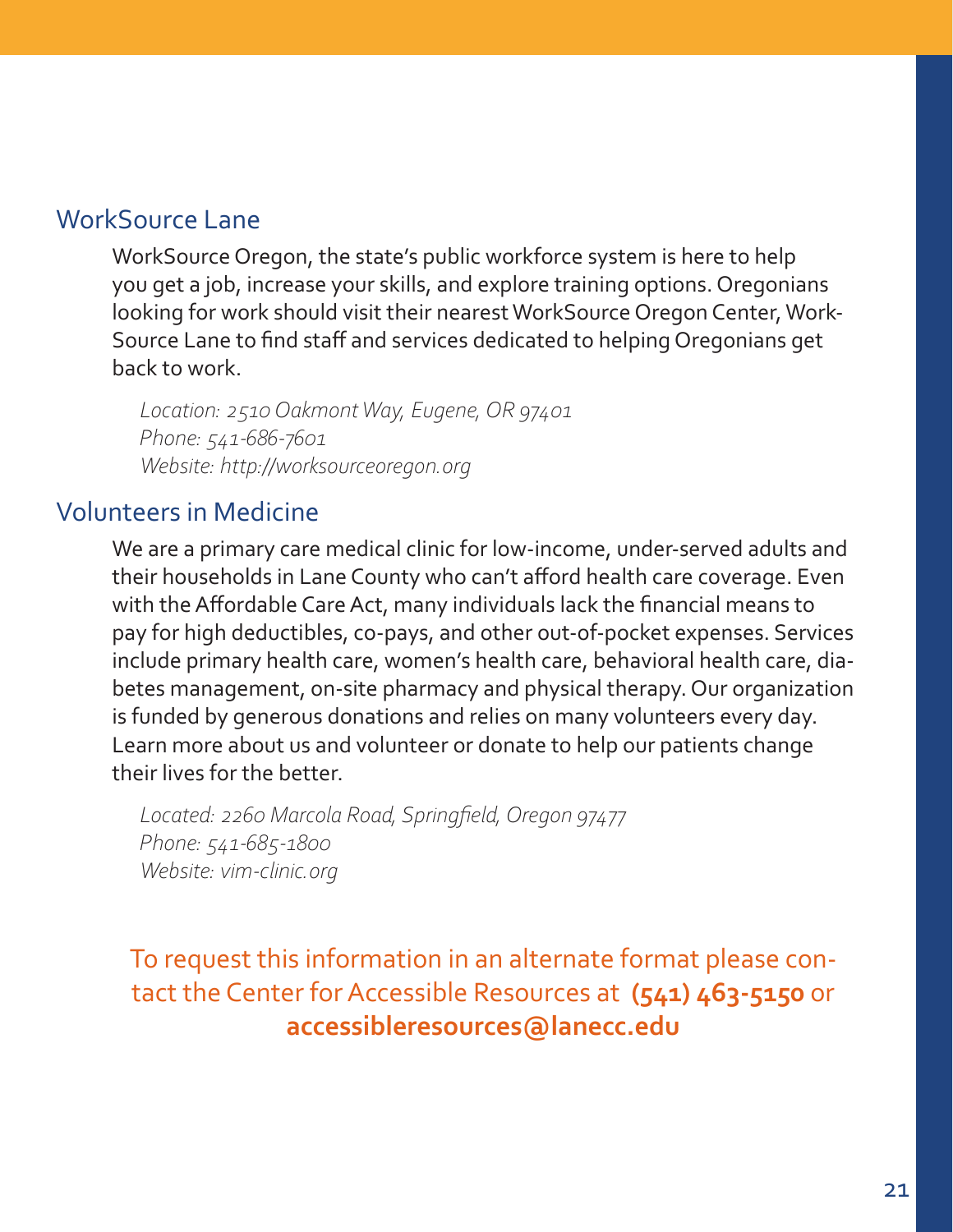# <span id="page-20-0"></span>WorkSource Lane

WorkSource Oregon, the state's public workforce system is here to help you get a job, increase your skills, and explore training options. Oregonians looking for work should visit their nearest WorkSource Oregon Center, Work-Source Lane to find staff and services dedicated to helping Oregonians get back to work.

*Location: 2510 Oakmont Way, Eugene, OR 97401 Phone: 541-686-7601 Website: http://worksourceoregon.org*

# Volunteers in Medicine

We are a primary care medical clinic for low-income, under-served adults and their households in Lane County who can't afford health care coverage. Even with the Affordable Care Act, many individuals lack the financial means to pay for high deductibles, co-pays, and other out-of-pocket expenses. Services include primary health care, women's health care, behavioral health care, diabetes management, on-site pharmacy and physical therapy. Our organization is funded by generous donations and relies on many volunteers every day. Learn more about us and volunteer or donate to help our patients change their lives for the better.

*Located: 2260 Marcola Road, Springfield, Oregon 97477 Phone: 541-685-1800 Website: vim-clinic.org*

To request this information in an alternate format please contact the Center for Accessible Resources at **(541) 463-5150** or **accessibleresources@lanecc.edu**